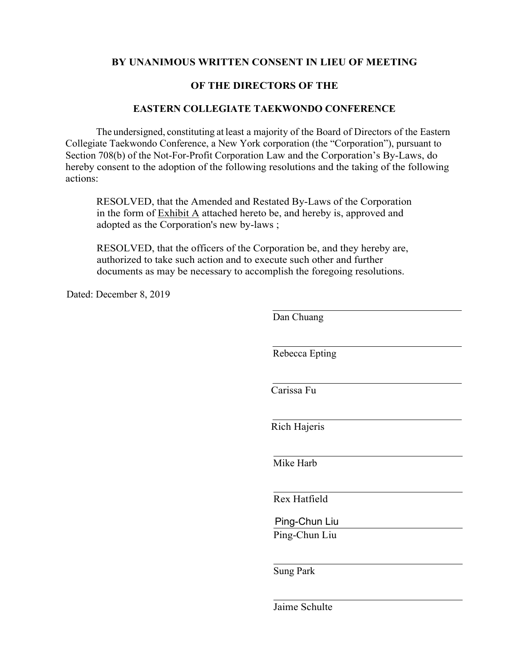#### **BY UNANIMOUS WRITTEN CONSENT IN LIEU OF MEETING**

#### **OF THE DIRECTORS OF THE**

#### **EASTERN COLLEGIATE TAEKWONDO CONFERENCE**

The undersigned, constituting at least a majority of the Board of Directors of the Eastern Collegiate Taekwondo Conference, a New York corporation (the "Corporation"), pursuant to Section 708(b) of the Not-For-Profit Corporation Law and the Corporation's By-Laws, do hereby consent to the adoption of the following resolutions and the taking of the following actions:

RESOLVED, that the Amended and Restated By-Laws of the Corporation in the form of Exhibit A attached hereto be, and hereby is, approved and adopted as the Corporation's new by-laws ;

RESOLVED, that the officers of the Corporation be, and they hereby are, authorized to take such action and to execute such other and further documents as may be necessary to accomplish the foregoing resolutions.

Dated: December 8, 2019

Dan Chuang Rebecca Epting Carissa Fu Rich Hajeris Mike Harb Rex Hatfield Ping-Chun Liu Sung Park Ping-Chun Liu

Jaime Schulte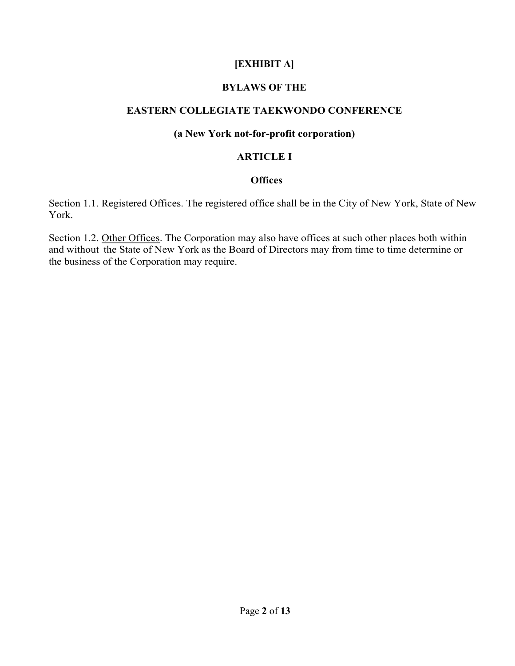# **[EXHIBIT A]**

# **BYLAWS OF THE**

# **EASTERN COLLEGIATE TAEKWONDO CONFERENCE**

#### **(a New York not-for-profit corporation)**

### **ARTICLE I**

#### **Offices**

Section 1.1. Registered Offices. The registered office shall be in the City of New York, State of New York.

Section 1.2. Other Offices. The Corporation may also have offices at such other places both within and without the State of New York as the Board of Directors may from time to time determine or the business of the Corporation may require.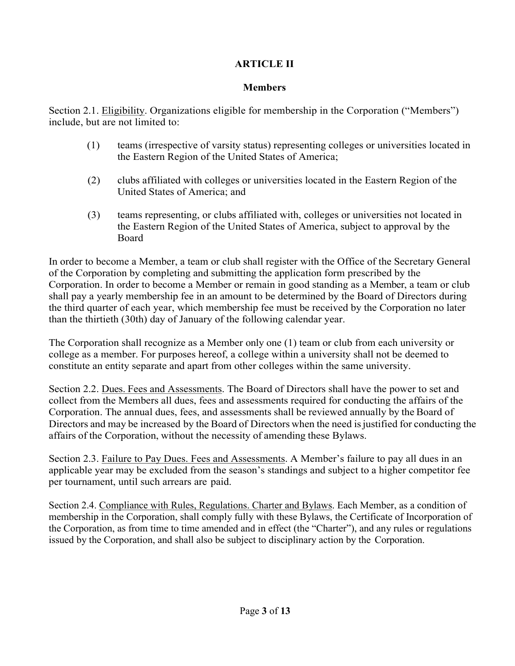# **ARTICLE II**

# **Members**

Section 2.1. Eligibility. Organizations eligible for membership in the Corporation ("Members") include, but are not limited to:

- (1) teams (irrespective of varsity status) representing colleges or universities located in the Eastern Region of the United States of America;
- (2) clubs affiliated with colleges or universities located in the Eastern Region of the United States of America; and
- (3) teams representing, or clubs affiliated with, colleges or universities not located in the Eastern Region of the United States of America, subject to approval by the Board

In order to become a Member, a team or club shall register with the Office of the Secretary General of the Corporation by completing and submitting the application form prescribed by the Corporation. In order to become a Member or remain in good standing as a Member, a team or club shall pay a yearly membership fee in an amount to be determined by the Board of Directors during the third quarter of each year, which membership fee must be received by the Corporation no later than the thirtieth (30th) day of January of the following calendar year.

The Corporation shall recognize as a Member only one (1) team or club from each university or college as a member. For purposes hereof, a college within a university shall not be deemed to constitute an entity separate and apart from other colleges within the same university.

Section 2.2. Dues. Fees and Assessments. The Board of Directors shall have the power to set and collect from the Members all dues, fees and assessments required for conducting the affairs of the Corporation. The annual dues, fees, and assessments shall be reviewed annually by the Board of Directors and may be increased by the Board of Directors when the need is justified for conducting the affairs of the Corporation, without the necessity of amending these Bylaws.

Section 2.3. Failure to Pay Dues. Fees and Assessments. A Member's failure to pay all dues in an applicable year may be excluded from the season's standings and subject to a higher competitor fee per tournament, until such arrears are paid.

Section 2.4. Compliance with Rules, Regulations. Charter and Bylaws. Each Member, as a condition of membership in the Corporation, shall comply fully with these Bylaws, the Certificate of Incorporation of the Corporation, as from time to time amended and in effect (the "Charter"), and any rules or regulations issued by the Corporation, and shall also be subject to disciplinary action by the Corporation.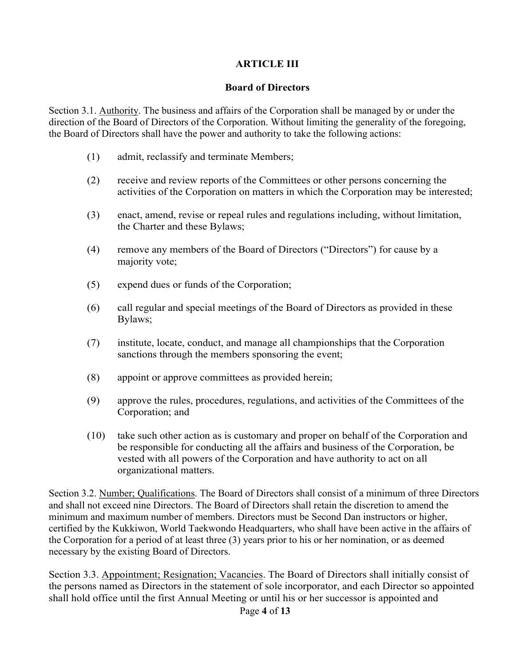# **ARTICLE III**

### **Board of Directors**

Section 3.1. Authority. The business and affairs of the Corporation shall be managed by or under the direction of the Board of Directors of the Corporation. Without limiting the generality of the foregoing, the Board of Directors shall have the power and authority to take the following actions:

- (1) admit, reclassify and terminate Members;
- (2) receive and review reports of the Committees or other persons concerning the activities of the Corporation on matters in which the Corporation may be interested;
- (3) enact, amend, revise or repeal rules and regulations including, without limitation, the Charter and these Bylaws;
- (4) remove any members of the Board of Directors ("Directors") for cause by a majority vote;
- (5) expend dues or funds of the Corporation;
- (6) call regular and special meetings of the Board of Directors as provided in these Bylaws;
- (7) institute, locate, conduct, and manage all championships that the Corporation sanctions through the members sponsoring the event;
- (8) appoint or approve committees as provided herein;
- (9) approve the rules, procedures, regulations, and activities of the Committees of the Corporation; and
- (10) take such other action as is customary and proper on behalf of the Corporation and be responsible for conducting all the affairs and business of the Corporation, be vested with all powers of the Corporation and have authority to act on all organizational matters.

Section 3.2. Number; Qualifications. The Board of Directors shall consist of a minimum of three Directors and shall not exceed nine Directors. The Board of Directors shall retain the discretion to amend the minimum and maximum number of members. Directors must be Second Dan instructors or higher, certified by the Kukkiwon, World Taekwondo Headquarters, who shall have been active in the affairs of the Corporation for a period of at least three (3) years prior to his or her nomination, or as deemed necessary by the existing Board of Directors.

Section 3.3. Appointment; Resignation; Vacancies. The Board of Directors shall initially consist of the persons named as Directors in the statement of sole incorporator, and each Director so appointed shall hold office until the first Annual Meeting or until his or her successor is appointed and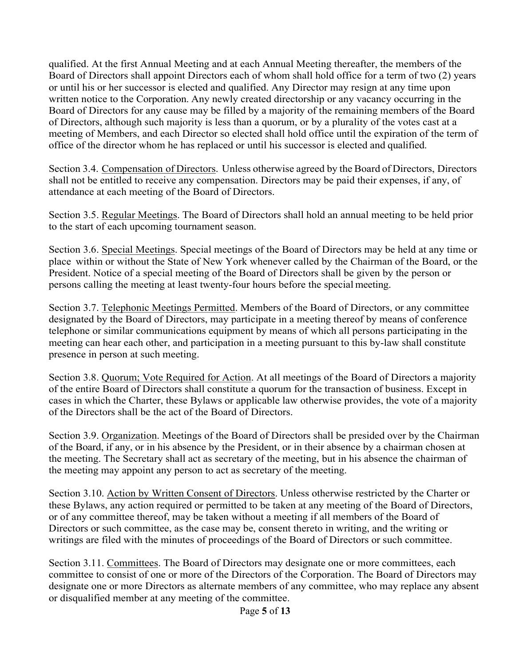qualified. At the first Annual Meeting and at each Annual Meeting thereafter, the members of the Board of Directors shall appoint Directors each of whom shall hold office for a term of two (2) years or until his or her successor is elected and qualified. Any Director may resign at any time upon written notice to the Corporation. Any newly created directorship or any vacancy occurring in the Board of Directors for any cause may be filled by a majority of the remaining members of the Board of Directors, although such majority is less than a quorum, or by a plurality of the votes cast at a meeting of Members, and each Director so elected shall hold office until the expiration of the term of office of the director whom he has replaced or until his successor is elected and qualified.

Section 3.4. Compensation of Directors. Unless otherwise agreed by the Board of Directors, Directors shall not be entitled to receive any compensation. Directors may be paid their expenses, if any, of attendance at each meeting of the Board of Directors.

Section 3.5. Regular Meetings. The Board of Directors shall hold an annual meeting to be held prior to the start of each upcoming tournament season.

Section 3.6. Special Meetings. Special meetings of the Board of Directors may be held at any time or place within or without the State of New York whenever called by the Chairman of the Board, or the President. Notice of a special meeting of the Board of Directors shall be given by the person or persons calling the meeting at least twenty-four hours before the special meeting.

Section 3.7. Telephonic Meetings Permitted. Members of the Board of Directors, or any committee designated by the Board of Directors, may participate in a meeting thereof by means of conference telephone or similar communications equipment by means of which all persons participating in the meeting can hear each other, and participation in a meeting pursuant to this by-law shall constitute presence in person at such meeting.

Section 3.8. Quorum; Vote Required for Action. At all meetings of the Board of Directors a majority of the entire Board of Directors shall constitute a quorum for the transaction of business. Except in cases in which the Charter, these Bylaws or applicable law otherwise provides, the vote of a majority of the Directors shall be the act of the Board of Directors.

Section 3.9. Organization. Meetings of the Board of Directors shall be presided over by the Chairman of the Board, if any, or in his absence by the President, or in their absence by a chairman chosen at the meeting. The Secretary shall act as secretary of the meeting, but in his absence the chairman of the meeting may appoint any person to act as secretary of the meeting.

Section 3.10. Action by Written Consent of Directors. Unless otherwise restricted by the Charter or these Bylaws, any action required or permitted to be taken at any meeting of the Board of Directors, or of any committee thereof, may be taken without a meeting if all members of the Board of Directors or such committee, as the case may be, consent thereto in writing, and the writing or writings are filed with the minutes of proceedings of the Board of Directors or such committee.

Section 3.11. Committees. The Board of Directors may designate one or more committees, each committee to consist of one or more of the Directors of the Corporation. The Board of Directors may designate one or more Directors as alternate members of any committee, who may replace any absent or disqualified member at any meeting of the committee.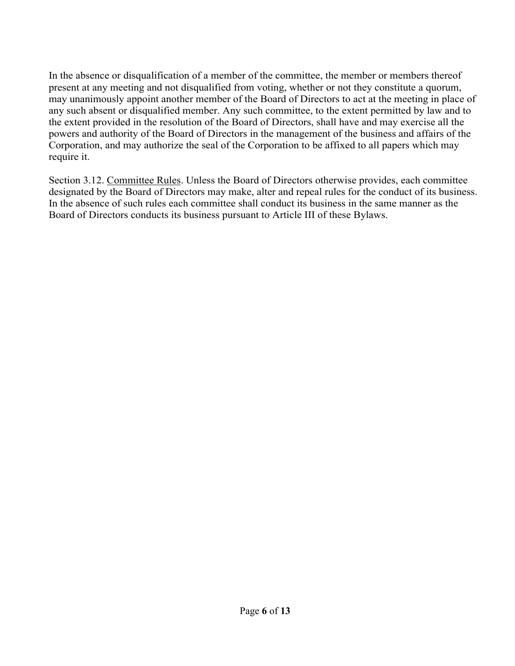In the absence or disqualification of a member of the committee, the member or members thereof present at any meeting and not disqualified from voting, whether or not they constitute a quorum, may unanimously appoint another member of the Board of Directors to act at the meeting in place of any such absent or disqualified member. Any such committee, to the extent permitted by law and to the extent provided in the resolution of the Board of Directors, shall have and may exercise all the powers and authority of the Board of Directors in the management of the business and affairs of the Corporation, and may authorize the seal of the Corporation to be affixed to all papers which may require it.

Section 3.12. Committee Rules. Unless the Board of Directors otherwise provides, each committee designated by the Board of Directors may make, alter and repeal rules for the conduct of its business. In the absence of such rules each committee shall conduct its business in the same manner as the Board of Directors conducts its business pursuant to Article III of these Bylaws.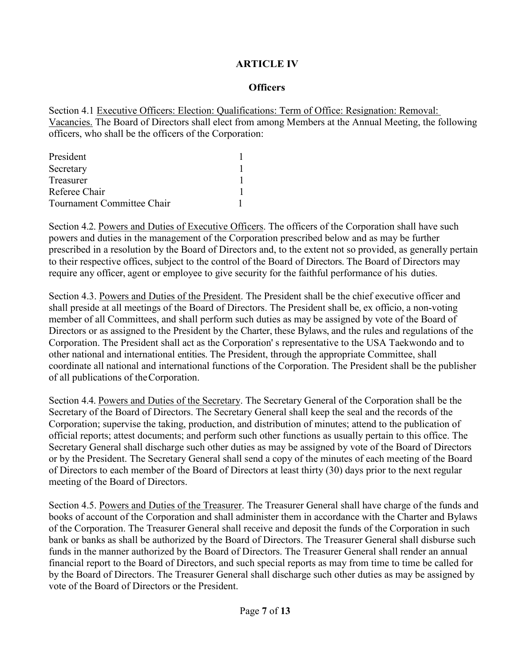### **ARTICLE IV**

#### **Officers**

Section 4.1 Executive Officers: Election: Qualifications: Term of Office: Resignation: Removal: Vacancies. The Board of Directors shall elect from among Members at the Annual Meeting, the following officers, who shall be the officers of the Corporation:

| President                  |  |
|----------------------------|--|
| Secretary                  |  |
| Treasurer                  |  |
| Referee Chair              |  |
| Tournament Committee Chair |  |

Section 4.2. Powers and Duties of Executive Officers. The officers of the Corporation shall have such powers and duties in the management of the Corporation prescribed below and as may be further prescribed in a resolution by the Board of Directors and, to the extent not so provided, as generally pertain to their respective offices, subject to the control of the Board of Directors. The Board of Directors may require any officer, agent or employee to give security for the faithful performance of his duties.

Section 4.3. Powers and Duties of the President. The President shall be the chief executive officer and shall preside at all meetings of the Board of Directors. The President shall be, ex officio, a non-voting member of all Committees, and shall perform such duties as may be assigned by vote of the Board of Directors or as assigned to the President by the Charter, these Bylaws, and the rules and regulations of the Corporation. The President shall act as the Corporation' s representative to the USA Taekwondo and to other national and international entities. The President, through the appropriate Committee, shall coordinate all national and international functions of the Corporation. The President shall be the publisher of all publications of theCorporation.

Section 4.4. Powers and Duties of the Secretary. The Secretary General of the Corporation shall be the Secretary of the Board of Directors. The Secretary General shall keep the seal and the records of the Corporation; supervise the taking, production, and distribution of minutes; attend to the publication of official reports; attest documents; and perform such other functions as usually pertain to this office. The Secretary General shall discharge such other duties as may be assigned by vote of the Board of Directors or by the President. The Secretary General shall send a copy of the minutes of each meeting of the Board of Directors to each member of the Board of Directors at least thirty (30) days prior to the next regular meeting of the Board of Directors.

Section 4.5. Powers and Duties of the Treasurer. The Treasurer General shall have charge of the funds and books of account of the Corporation and shall administer them in accordance with the Charter and Bylaws of the Corporation. The Treasurer General shall receive and deposit the funds of the Corporation in such bank or banks as shall be authorized by the Board of Directors. The Treasurer General shall disburse such funds in the manner authorized by the Board of Directors. The Treasurer General shall render an annual financial report to the Board of Directors, and such special reports as may from time to time be called for by the Board of Directors. The Treasurer General shall discharge such other duties as may be assigned by vote of the Board of Directors or the President.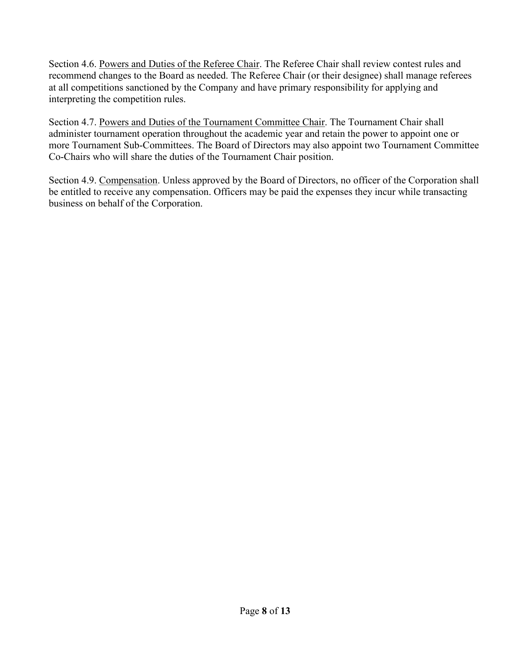Section 4.6. Powers and Duties of the Referee Chair. The Referee Chair shall review contest rules and recommend changes to the Board as needed. The Referee Chair (or their designee) shall manage referees at all competitions sanctioned by the Company and have primary responsibility for applying and interpreting the competition rules.

Section 4.7. Powers and Duties of the Tournament Committee Chair. The Tournament Chair shall administer tournament operation throughout the academic year and retain the power to appoint one or more Tournament Sub-Committees. The Board of Directors may also appoint two Tournament Committee Co-Chairs who will share the duties of the Tournament Chair position.

Section 4.9. Compensation. Unless approved by the Board of Directors, no officer of the Corporation shall be entitled to receive any compensation. Officers may be paid the expenses they incur while transacting business on behalf of the Corporation.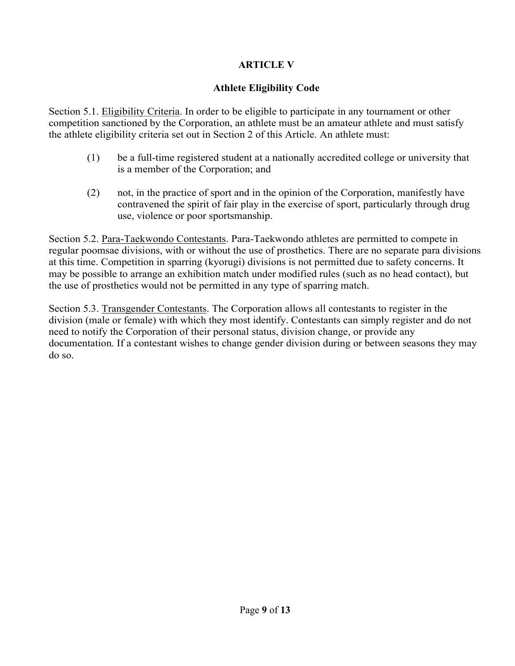# **ARTICLE V**

# **Athlete Eligibility Code**

Section 5.1. Eligibility Criteria. In order to be eligible to participate in any tournament or other competition sanctioned by the Corporation, an athlete must be an amateur athlete and must satisfy the athlete eligibility criteria set out in Section 2 of this Article. An athlete must:

- (1) be a full-time registered student at a nationally accredited college or university that is a member of the Corporation; and
- (2) not, in the practice of sport and in the opinion of the Corporation, manifestly have contravened the spirit of fair play in the exercise of sport, particularly through drug use, violence or poor sportsmanship.

Section 5.2. Para-Taekwondo Contestants. Para-Taekwondo athletes are permitted to compete in regular poomsae divisions, with or without the use of prosthetics. There are no separate para divisions at this time. Competition in sparring (kyorugi) divisions is not permitted due to safety concerns. It may be possible to arrange an exhibition match under modified rules (such as no head contact), but the use of prosthetics would not be permitted in any type of sparring match.

Section 5.3. Transgender Contestants. The Corporation allows all contestants to register in the division (male or female) with which they most identify. Contestants can simply register and do not need to notify the Corporation of their personal status, division change, or provide any documentation. If a contestant wishes to change gender division during or between seasons they may do so.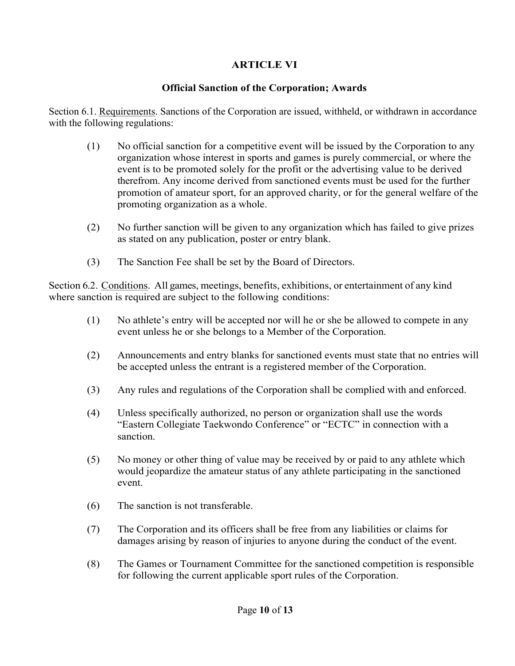# **ARTICLE VI**

# **Official Sanction of the Corporation; Awards**

Section 6.1. Requirements. Sanctions of the Corporation are issued, withheld, or withdrawn in accordance with the following regulations:

- (1) No official sanction for a competitive event will be issued by the Corporation to any organization whose interest in sports and games is purely commercial, or where the event is to be promoted solely for the profit or the advertising value to be derived therefrom. Any income derived from sanctioned events must be used for the further promotion of amateur sport, for an approved charity, or for the general welfare of the promoting organization as a whole.
- (2) No further sanction will be given to any organization which has failed to give prizes as stated on any publication, poster or entry blank.
- (3) The Sanction Fee shall be set by the Board of Directors.

Section 6.2. Conditions. All games, meetings, benefits, exhibitions, or entertainment of any kind where sanction is required are subject to the following conditions:

- (1) No athlete's entry will be accepted nor will he or she be allowed to compete in any event unless he or she belongs to a Member of the Corporation.
- (2) Announcements and entry blanks for sanctioned events must state that no entries will be accepted unless the entrant is a registered member of the Corporation.
- (3) Any rules and regulations of the Corporation shall be complied with and enforced.
- (4) Unless specifically authorized, no person or organization shall use the words "Eastern Collegiate Taekwondo Conference" or "ECTC" in connection with a sanction.
- (5) No money or other thing of value may be received by or paid to any athlete which would jeopardize the amateur status of any athlete participating in the sanctioned event.
- (6) The sanction is not transferable.
- (7) The Corporation and its officers shall be free from any liabilities or claims for damages arising by reason of injuries to anyone during the conduct of the event.
- (8) The Games or Tournament Committee for the sanctioned competition is responsible for following the current applicable sport rules of the Corporation.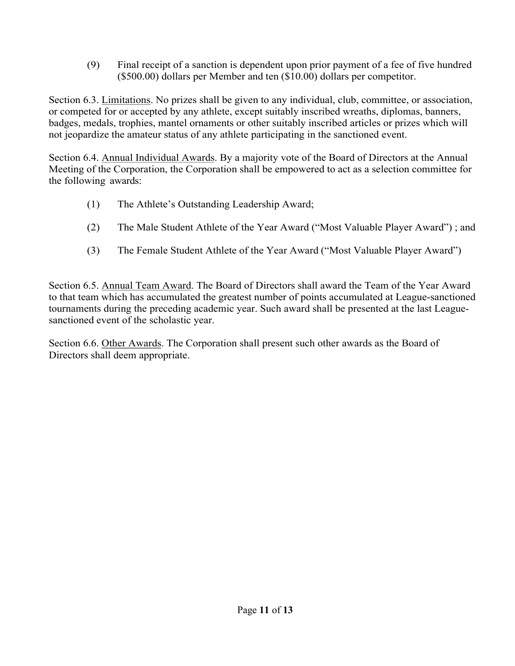(9) Final receipt of a sanction is dependent upon prior payment of a fee of five hundred (\$500.00) dollars per Member and ten (\$10.00) dollars per competitor.

Section 6.3. Limitations. No prizes shall be given to any individual, club, committee, or association, or competed for or accepted by any athlete, except suitably inscribed wreaths, diplomas, banners, badges, medals, trophies, mantel ornaments or other suitably inscribed articles or prizes which will not jeopardize the amateur status of any athlete participating in the sanctioned event.

Section 6.4. Annual Individual Awards. By a majority vote of the Board of Directors at the Annual Meeting of the Corporation, the Corporation shall be empowered to act as a selection committee for the following awards:

- (1) The Athlete's Outstanding Leadership Award;
- (2) The Male Student Athlete of the Year Award ("Most Valuable Player Award") ; and
- (3) The Female Student Athlete of the Year Award ("Most Valuable Player Award")

Section 6.5. Annual Team Award. The Board of Directors shall award the Team of the Year Award to that team which has accumulated the greatest number of points accumulated at League-sanctioned tournaments during the preceding academic year. Such award shall be presented at the last Leaguesanctioned event of the scholastic year.

Section 6.6. Other Awards. The Corporation shall present such other awards as the Board of Directors shall deem appropriate.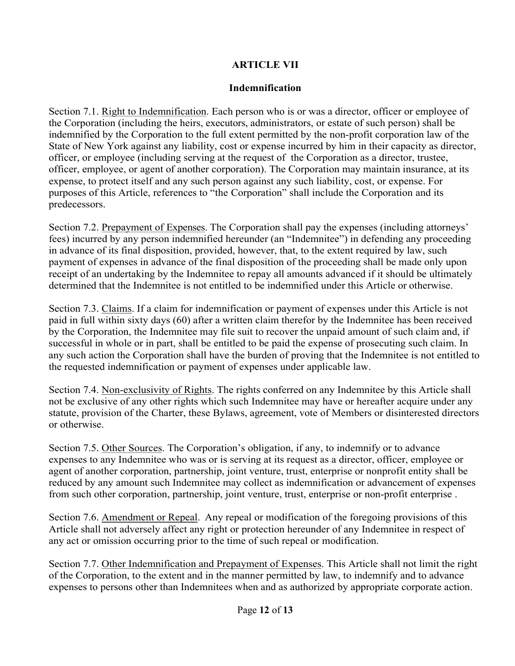# **ARTICLE VII**

# **Indemnification**

Section 7.1. Right to Indemnification. Each person who is or was a director, officer or employee of the Corporation (including the heirs, executors, administrators, or estate of such person) shall be indemnified by the Corporation to the full extent permitted by the non-profit corporation law of the State of New York against any liability, cost or expense incurred by him in their capacity as director, officer, or employee (including serving at the request of the Corporation as a director, trustee, officer, employee, or agent of another corporation). The Corporation may maintain insurance, at its expense, to protect itself and any such person against any such liability, cost, or expense. For purposes of this Article, references to "the Corporation" shall include the Corporation and its predecessors.

Section 7.2. Prepayment of Expenses. The Corporation shall pay the expenses (including attorneys' fees) incurred by any person indemnified hereunder (an "Indemnitee") in defending any proceeding in advance of its final disposition, provided, however, that, to the extent required by law, such payment of expenses in advance of the final disposition of the proceeding shall be made only upon receipt of an undertaking by the Indemnitee to repay all amounts advanced if it should be ultimately determined that the Indemnitee is not entitled to be indemnified under this Article or otherwise.

Section 7.3. Claims. If a claim for indemnification or payment of expenses under this Article is not paid in full within sixty days (60) after a written claim therefor by the Indemnitee has been received by the Corporation, the Indemnitee may file suit to recover the unpaid amount of such claim and, if successful in whole or in part, shall be entitled to be paid the expense of prosecuting such claim. In any such action the Corporation shall have the burden of proving that the Indemnitee is not entitled to the requested indemnification or payment of expenses under applicable law.

Section 7.4. Non-exclusivity of Rights. The rights conferred on any Indemnitee by this Article shall not be exclusive of any other rights which such Indemnitee may have or hereafter acquire under any statute, provision of the Charter, these Bylaws, agreement, vote of Members or disinterested directors or otherwise.

Section 7.5. Other Sources. The Corporation's obligation, if any, to indemnify or to advance expenses to any Indemnitee who was or is serving at its request as a director, officer, employee or agent of another corporation, partnership, joint venture, trust, enterprise or nonprofit entity shall be reduced by any amount such Indemnitee may collect as indemnification or advancement of expenses from such other corporation, partnership, joint venture, trust, enterprise or non-profit enterprise .

Section 7.6. Amendment or Repeal. Any repeal or modification of the foregoing provisions of this Article shall not adversely affect any right or protection hereunder of any Indemnitee in respect of any act or omission occurring prior to the time of such repeal or modification.

Section 7.7. Other Indemnification and Prepayment of Expenses. This Article shall not limit the right of the Corporation, to the extent and in the manner permitted by law, to indemnify and to advance expenses to persons other than Indemnitees when and as authorized by appropriate corporate action.